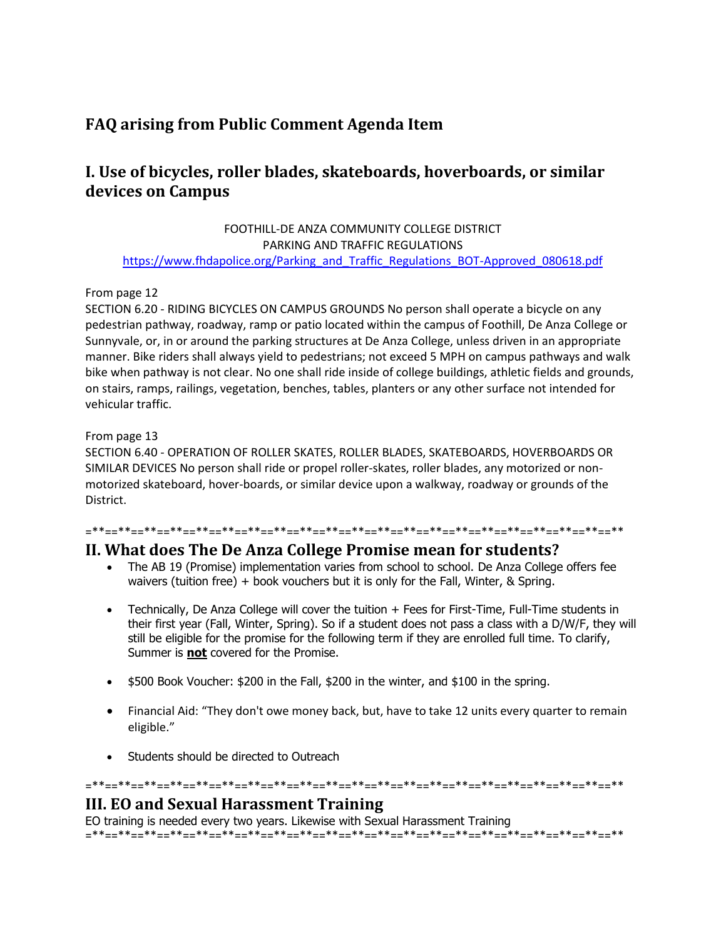# **FAQ arising from Public Comment Agenda Item**

# **I. Use of bicycles, roller blades, skateboards, hoverboards, or similar devices on Campus**

FOOTHILL-DE ANZA COMMUNITY COLLEGE DISTRICT PARKING AND TRAFFIC REGULATIONS [https://www.fhdapolice.org/Parking\\_and\\_Traffic\\_Regulations\\_BOT-Approved\\_080618.pdf](https://www.fhdapolice.org/Parking_and_Traffic_Regulations_BOT-Approved_080618.pdf)

### From page 12

SECTION 6.20 - RIDING BICYCLES ON CAMPUS GROUNDS No person shall operate a bicycle on any pedestrian pathway, roadway, ramp or patio located within the campus of Foothill, De Anza College or Sunnyvale, or, in or around the parking structures at De Anza College, unless driven in an appropriate manner. Bike riders shall always yield to pedestrians; not exceed 5 MPH on campus pathways and walk bike when pathway is not clear. No one shall ride inside of college buildings, athletic fields and grounds, on stairs, ramps, railings, vegetation, benches, tables, planters or any other surface not intended for vehicular traffic.

### From page 13

SECTION 6.40 - OPERATION OF ROLLER SKATES, ROLLER BLADES, SKATEBOARDS, HOVERBOARDS OR SIMILAR DEVICES No person shall ride or propel roller-skates, roller blades, any motorized or nonmotorized skateboard, hover-boards, or similar device upon a walkway, roadway or grounds of the District.

#### =\*\*==\*\*==\*\*==\*\*==\*\*==\*\*==\*\*==\*\*==\*\*==\*\*==\*\*==\*\*==\*\*==\*\*==\*\*==\*\*==\*\*==\*\*==\*\*==\*\*==\*\*

## **II. What does The De Anza College Promise mean for students?**

- The AB 19 (Promise) implementation varies from school to school. De Anza College offers fee waivers (tuition free) + book vouchers but it is only for the Fall, Winter, & Spring.
- Technically, De Anza College will cover the tuition + Fees for First-Time, Full-Time students in their first year (Fall, Winter, Spring). So if a student does not pass a class with a D/W/F, they will still be eligible for the promise for the following term if they are enrolled full time. To clarify, Summer is **not** covered for the Promise.
- \$500 Book Voucher: \$200 in the Fall, \$200 in the winter, and \$100 in the spring.
- Financial Aid: "They don't owe money back, but, have to take 12 units every quarter to remain eligible."
- Students should be directed to Outreach

=\*\*==\*\*==\*\*==\*\*==\*\*==\*\*==\*\*==\*\*==\*\*==\*\*==\*\*==\*\*==\*\*==\*\*==\*\*==\*\*==\*\*==\*\*==\*\*==\*\*==\*\*

## **III. EO and Sexual Harassment Training**

EO training is needed every two years. Likewise with Sexual Harassment Training =\*\*==\*\*==\*\*==\*\*==\*\*==\*\*==\*\*==\*\*==\*\*==\*\*==\*\*==\*\*==\*\*==\*\*==\*\*==\*\*==\*\*==\*\*==\*\*==\*\*==\*\*